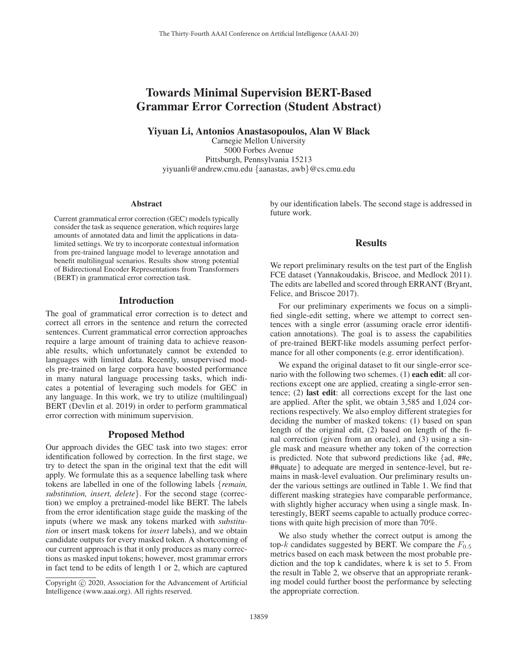# Towards Minimal Supervision BERT-Based Grammar Error Correction (Student Abstract)

Yiyuan Li, Antonios Anastasopoulos, Alan W Black

Carnegie Mellon University 5000 Forbes Avenue Pittsburgh, Pennsylvania 15213 yiyuanli@andrew.cmu.edu {aanastas, awb}@cs.cmu.edu

#### **Abstract**

Current grammatical error correction (GEC) models typically consider the task as sequence generation, which requires large amounts of annotated data and limit the applications in datalimited settings. We try to incorporate contextual information from pre-trained language model to leverage annotation and benefit multilingual scenarios. Results show strong potential of Bidirectional Encoder Representations from Transformers (BERT) in grammatical error correction task.

#### Introduction

The goal of grammatical error correction is to detect and correct all errors in the sentence and return the corrected sentences. Current grammatical error correction approaches require a large amount of training data to achieve reasonable results, which unfortunately cannot be extended to languages with limited data. Recently, unsupervised models pre-trained on large corpora have boosted performance in many natural language processing tasks, which indicates a potential of leveraging such models for GEC in any language. In this work, we try to utilize (multilingual) BERT (Devlin et al. 2019) in order to perform grammatical error correction with minimum supervision.

### Proposed Method

Our approach divides the GEC task into two stages: error identification followed by correction. In the first stage, we try to detect the span in the original text that the edit will apply. We formulate this as a sequence labelling task where tokens are labelled in one of the following labels {*remain, substitution, insert, delete*}. For the second stage (correction) we employ a pretrained-model like BERT. The labels from the error identification stage guide the masking of the inputs (where we mask any tokens marked with *substitution* or insert mask tokens for *insert* labels), and we obtain candidate outputs for every masked token. A shortcoming of our current approach is that it only produces as many corrections as masked input tokens; however, most grammar errors in fact tend to be edits of length 1 or 2, which are captured by our identification labels. The second stage is addressed in future work.

### Results

We report preliminary results on the test part of the English FCE dataset (Yannakoudakis, Briscoe, and Medlock 2011). The edits are labelled and scored through ERRANT (Bryant, Felice, and Briscoe 2017).

For our preliminary experiments we focus on a simplified single-edit setting, where we attempt to correct sentences with a single error (assuming oracle error identification annotations). The goal is to assess the capabilities of pre-trained BERT-like models assuming perfect performance for all other components (e.g. error identification).

We expand the original dataset to fit our single-error scenario with the following two schemes. (1) **each edit**: all corrections except one are applied, creating a single-error sentence; (2) last edit: all corrections except for the last one are applied. After the split, we obtain 3,585 and 1,024 corrections respectively. We also employ different strategies for deciding the number of masked tokens: (1) based on span length of the original edit, (2) based on length of the final correction (given from an oracle), and (3) using a single mask and measure whether any token of the correction is predicted. Note that subword predictions like {ad, ##e, ##quate} to adequate are merged in sentence-level, but remains in mask-level evaluation. Our preliminary results under the various settings are outlined in Table 1. We find that different masking strategies have comparable performance, with slightly higher accuracy when using a single mask. Interestingly, BERT seems capable to actually produce corrections with quite high precision of more than 70%.

We also study whether the correct output is among the top-k candidates suggested by BERT. We compare the  $F_{0.5}$ metrics based on each mask between the most probable prediction and the top k candidates, where k is set to 5. From the result in Table 2, we observe that an appropriate reranking model could further boost the performance by selecting the appropriate correction.

Copyright  $\odot$  2020, Association for the Advancement of Artificial Intelligence (www.aaai.org). All rights reserved.